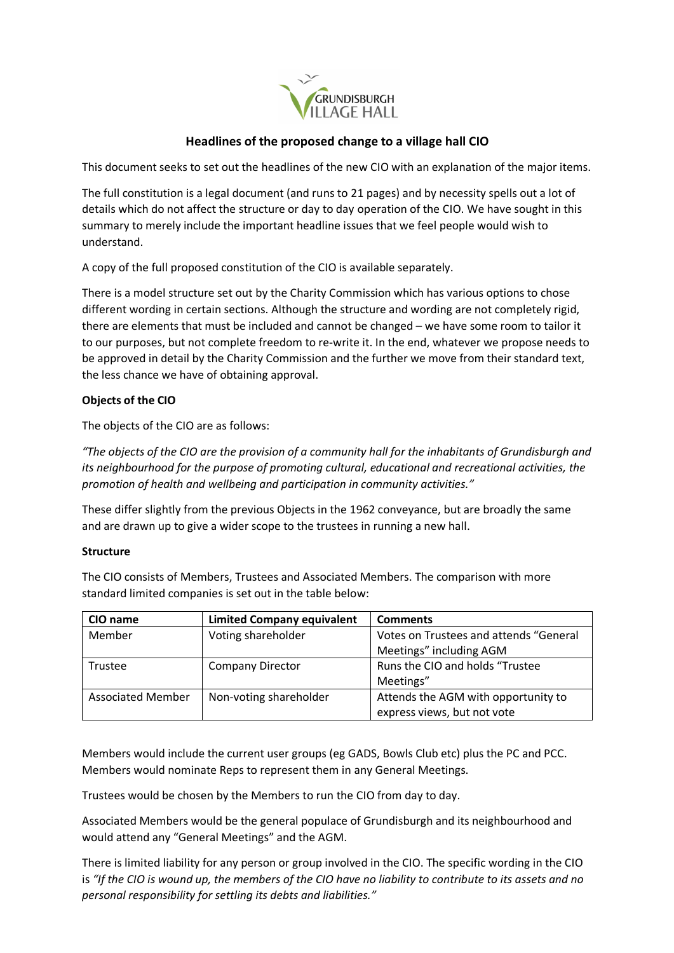

## **Headlines of the proposed change to a village hall CIO**

This document seeks to set out the headlines of the new CIO with an explanation of the major items.

The full constitution is a legal document (and runs to 21 pages) and by necessity spells out a lot of details which do not affect the structure or day to day operation of the CIO. We have sought in this summary to merely include the important headline issues that we feel people would wish to understand.

A copy of the full proposed constitution of the CIO is available separately.

There is a model structure set out by the Charity Commission which has various options to chose different wording in certain sections. Although the structure and wording are not completely rigid, there are elements that must be included and cannot be changed – we have some room to tailor it to our purposes, but not complete freedom to re-write it. In the end, whatever we propose needs to be approved in detail by the Charity Commission and the further we move from their standard text, the less chance we have of obtaining approval.

### **Objects of the CIO**

The objects of the CIO are as follows:

*"The objects of the CIO are the provision of a community hall for the inhabitants of Grundisburgh and its neighbourhood for the purpose of promoting cultural, educational and recreational activities, the promotion of health and wellbeing and participation in community activities."*

These differ slightly from the previous Objects in the 1962 conveyance, but are broadly the same and are drawn up to give a wider scope to the trustees in running a new hall.

#### **Structure**

The CIO consists of Members, Trustees and Associated Members. The comparison with more standard limited companies is set out in the table below:

| CIO name                 | <b>Limited Company equivalent</b> | <b>Comments</b>                                                    |
|--------------------------|-----------------------------------|--------------------------------------------------------------------|
| Member                   | Voting shareholder                | Votes on Trustees and attends "General<br>Meetings" including AGM  |
| Trustee                  | <b>Company Director</b>           | Runs the CIO and holds "Trustee<br>Meetings"                       |
| <b>Associated Member</b> | Non-voting shareholder            | Attends the AGM with opportunity to<br>express views, but not vote |

Members would include the current user groups (eg GADS, Bowls Club etc) plus the PC and PCC. Members would nominate Reps to represent them in any General Meetings.

Trustees would be chosen by the Members to run the CIO from day to day.

Associated Members would be the general populace of Grundisburgh and its neighbourhood and would attend any "General Meetings" and the AGM.

There is limited liability for any person or group involved in the CIO. The specific wording in the CIO is *"If the CIO is wound up, the members of the CIO have no liability to contribute to its assets and no personal responsibility for settling its debts and liabilities."*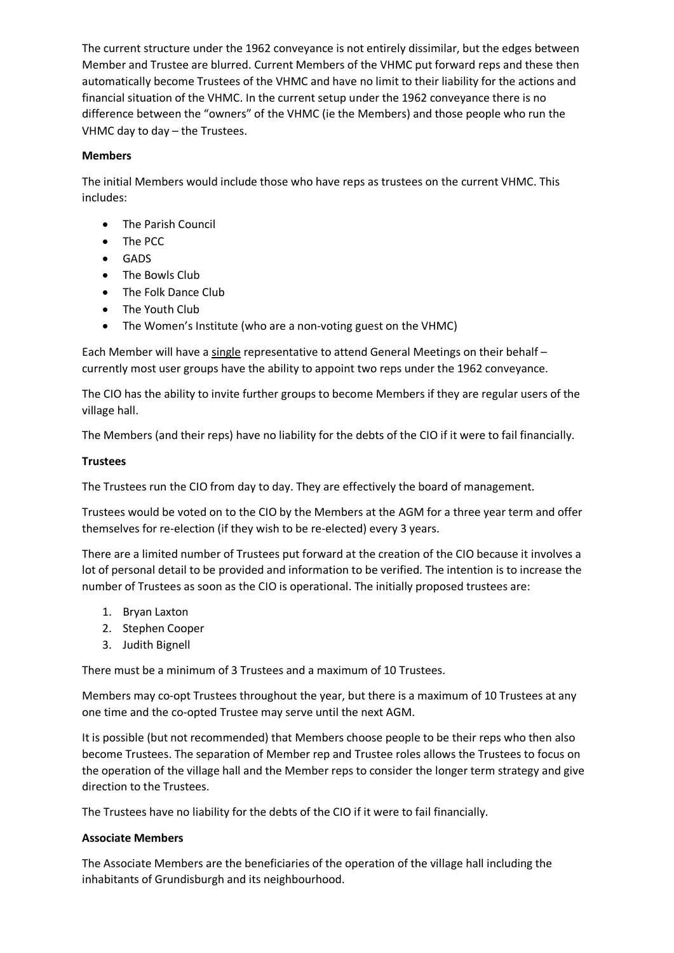The current structure under the 1962 conveyance is not entirely dissimilar, but the edges between Member and Trustee are blurred. Current Members of the VHMC put forward reps and these then automatically become Trustees of the VHMC and have no limit to their liability for the actions and financial situation of the VHMC. In the current setup under the 1962 conveyance there is no difference between the "owners" of the VHMC (ie the Members) and those people who run the VHMC day to day – the Trustees.

### **Members**

The initial Members would include those who have reps as trustees on the current VHMC. This includes:

- The Parish Council
- The PCC
- GADS
- The Bowls Club
- The Folk Dance Club
- The Youth Club
- The Women's Institute (who are a non-voting guest on the VHMC)

Each Member will have a single representative to attend General Meetings on their behalf – currently most user groups have the ability to appoint two reps under the 1962 conveyance.

The CIO has the ability to invite further groups to become Members if they are regular users of the village hall.

The Members (and their reps) have no liability for the debts of the CIO if it were to fail financially.

### **Trustees**

The Trustees run the CIO from day to day. They are effectively the board of management.

Trustees would be voted on to the CIO by the Members at the AGM for a three year term and offer themselves for re-election (if they wish to be re-elected) every 3 years.

There are a limited number of Trustees put forward at the creation of the CIO because it involves a lot of personal detail to be provided and information to be verified. The intention is to increase the number of Trustees as soon as the CIO is operational. The initially proposed trustees are:

- 1. Bryan Laxton
- 2. Stephen Cooper
- 3. Judith Bignell

There must be a minimum of 3 Trustees and a maximum of 10 Trustees.

Members may co-opt Trustees throughout the year, but there is a maximum of 10 Trustees at any one time and the co-opted Trustee may serve until the next AGM.

It is possible (but not recommended) that Members choose people to be their reps who then also become Trustees. The separation of Member rep and Trustee roles allows the Trustees to focus on the operation of the village hall and the Member reps to consider the longer term strategy and give direction to the Trustees.

The Trustees have no liability for the debts of the CIO if it were to fail financially.

#### **Associate Members**

The Associate Members are the beneficiaries of the operation of the village hall including the inhabitants of Grundisburgh and its neighbourhood.